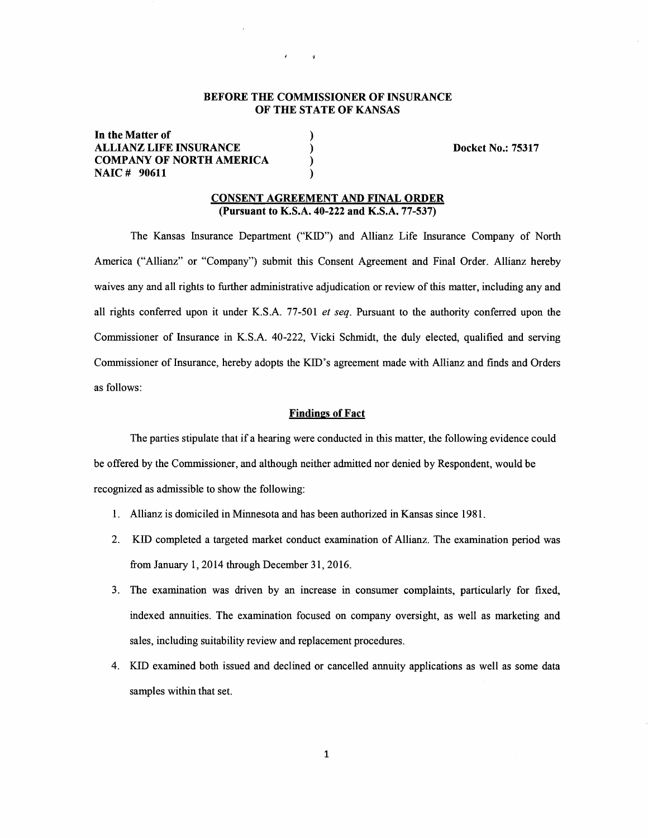## **BEFORE THE COMMISSIONER OF INSURANCE OF THE STATE OF KANSAS**

) ) ) )

# **In the Matter of ALLIANZ LIFE INSURANCE COMPANY OF NORTH AMERICA NAIC** # **90611**

**Docket No.: 75317** 

# **CONSENT AGREEMENT AND FINAL ORDER (Pursuant to K.S.A. 40-222 and K.S.A. 77-537)**

The Kansas Insurance Department ("KID") and Allianz Life Insurance Company of North America ("Allianz" or "Company") submit this Consent Agreement and Final Order. Allianz hereby waives any and all rights to further administrative adjudication or review of this matter, including any and all rights conferred upon it under K.S.A. 77-501 *et seq.* Pursuant to the authority conferred upon the Commissioner of Insurance in K.S.A. 40-222, Vicki Schmidt, the duly elected, qualified and serving Commissioner of Insurance, hereby adopts the KID's agreement made with Allianz and finds and Orders as follows:

### **Findings of Fact**

The parties stipulate that if a hearing were conducted in this matter, the following evidence could be offered by the Commissioner, and although neither admitted nor denied by Respondent, would be recognized as admissible to show the following:

- 1. Allianz is domiciled in Minnesota and has been authorized in Kansas since 1981.
- 2. KID completed a targeted market conduct examination of Allianz. The examination period was from January 1, 2014 through December 31, 2016.
- 3. The examination was driven by an increase in consumer complaints, particularly for fixed, indexed annuities. The examination focused on company oversight, as well as marketing and sales, including suitability review and replacement procedures.
- 4. KID examined both issued and declined or cancelled annuity applications as well as some data samples within that set.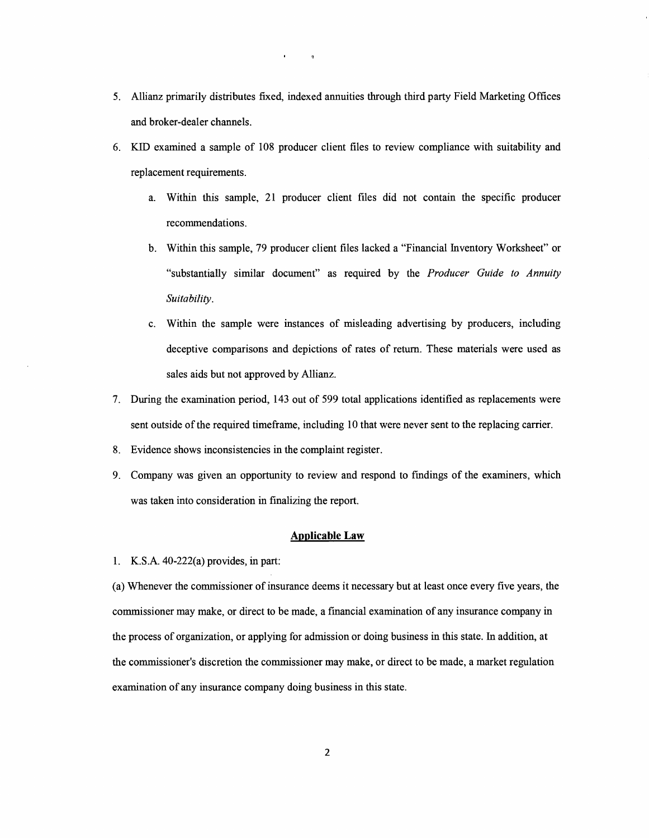5. Allianz primarily distributes fixed, indexed annuities through third party Field Marketing Offices and broker-dealer channels.

 $\mathbf{q}$ 

- 6. KID examined a sample of 108 producer client files to review compliance with suitability and replacement requirements.
	- a. Within this sample, 21 producer client files did not contain the specific producer recommendations.
	- b. Within this sample, 79 producer client files lacked a "Financial Inventory Worksheet" or "substantially similar document" as required by the *Producer Guide to Annuity Suitability.*
	- c. Within the sample were instances of misleading advertising by producers, including deceptive comparisons and depictions of rates of return. These materials were used as sales aids but not approved by Allianz.
- 7. During the examination period, 143 out of 599 total applications identified as replacements were sent outside of the required timeframe, including 10 that were never sent to the replacing carrier.
- 8. Evidence shows inconsistencies in the complaint register.
- 9. Company was given an opportunity to review and respond to findings of the examiners, which was taken into consideration in finalizing the report.

### **Applicable Law**

1. K.S.A. 40-222{a) provides, in part:

(a) Whenever the commissioner of insurance deems it necessary but at least once every five years, the commissioner may make, or direct to be made, a financial examination of any insurance company in the process of organization, or applying for admission or doing business in this state. In addition, at the commissioner's discretion the commissioner may make, or direct to be made, a market regulation examination of any insurance company doing business in this state.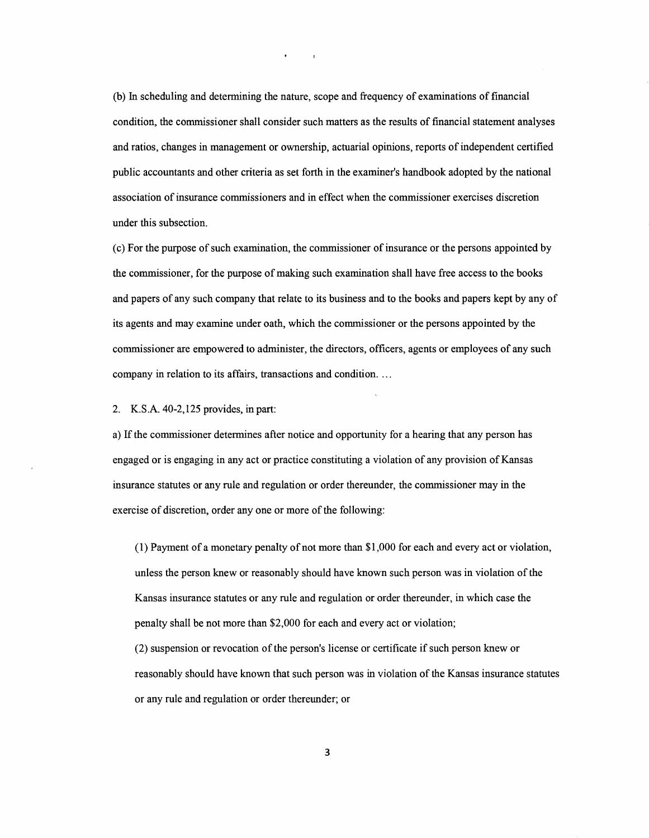(b) In scheduling and determining the nature, scope and frequency of examinations of financial condition, the commissioner shall consider such matters as the results of financial statement analyses and ratios, changes in management or ownership, actuarial opinions, reports of independent certified public accountants and other criteria as set forth in the examiner's handbook adopted by the national association of insurance commissioners and in effect when the commissioner exercises discretion under this subsection.

( c) For the purpose of such examination, the commissioner of insurance or the persons appointed by the commissioner, for the purpose of making such examination shall have free access to the books and papers of any such company that relate to its business and to the books and papers kept by any of its agents and may examine under oath, which the commissioner or the persons appointed by the commissioner are empowered to administer, the directors, officers, agents or employees of any such company in relation to its affairs, transactions and condition ....

2. K.S.A. 40-2, 125 provides, in part:

a) If the commissioner determines after notice and opportunity for a hearing that any person has engaged or is engaging in any act or practice constituting a violation of any provision of Kansas insurance statutes or any rule and regulation or order thereunder, the commissioner may in the exercise of discretion, order any one or more of the following:

( 1) Payment of a monetary penalty of not more than \$1,000 for each and every act or violation, unless the person knew or reasonably should have known such person was in violation of the Kansas insurance statutes or any rule and regulation or order thereunder, in which case the penalty shall be not more than \$2,000 for each and every act or violation; (2) suspension or revocation of the person's license or certificate if such person knew or reasonably should have known that such person was in violation of the Kansas insurance statutes

or any rule and regulation or order thereunder; or

3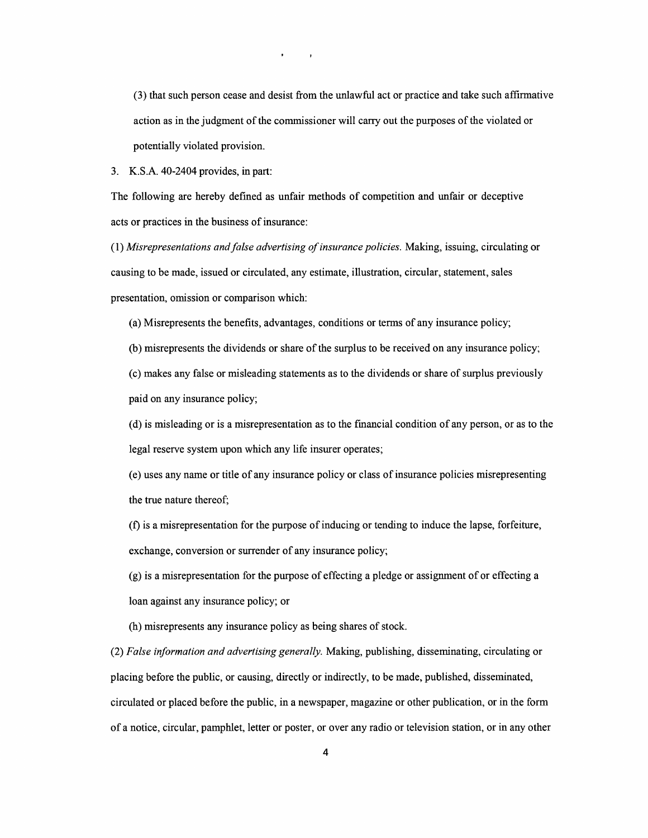(3) that such person cease and desist from the unlawful act or practice and take such affirmative action as in the judgment of the commissioner will cany out the purposes of the violated or potentially violated provision.

3. K.S.A. 40-2404 provides, in part:

The following are hereby defined as unfair methods of competition and unfair or deceptive acts or practices in the business of insurance:

 $\bullet$ 

(1) *Misrepresentations and false advertising of insurance policies.* Making, issuing, circulating or causing to be made, issued or circulated, any estimate, illustration, circular, statement, sales presentation, omission or comparison which:

(a) Misrepresents the benefits, advantages, conditions or terms of any insurance policy;

(b) misrepresents the dividends or share of the surplus to be received on any insurance policy;

(c) makes any false or misleading statements as to the dividends or share of surplus previously paid on any insurance policy;

( d) is misleading or is a misrepresentation as to the fmancial condition of any person, or as to the legal reserve system upon which any life insurer operates;

( e) uses any name or title of any insurance policy or class of insurance policies misrepresenting the true nature thereof;

(f) is a misrepresentation for the purpose of inducing or tending to induce the lapse, forfeiture, exchange, conversion or surrender of any insurance policy;

(g) is a misrepresentation for the purpose of effecting a pledge or assignment of or effecting a loan against any insurance policy; or

(h) misrepresents any insurance policy as being shares of stock.

(2) *False information and advertising generally.* Making, publishing, disseminating, circulating or placing before the public, or causing, directly or indirectly, to be made, published, disseminated, circulated or placed before the public, in a newspaper, magazine or other publication, or in the form of a notice, circular, pamphlet, letter or poster, or over any radio or television station, or in any other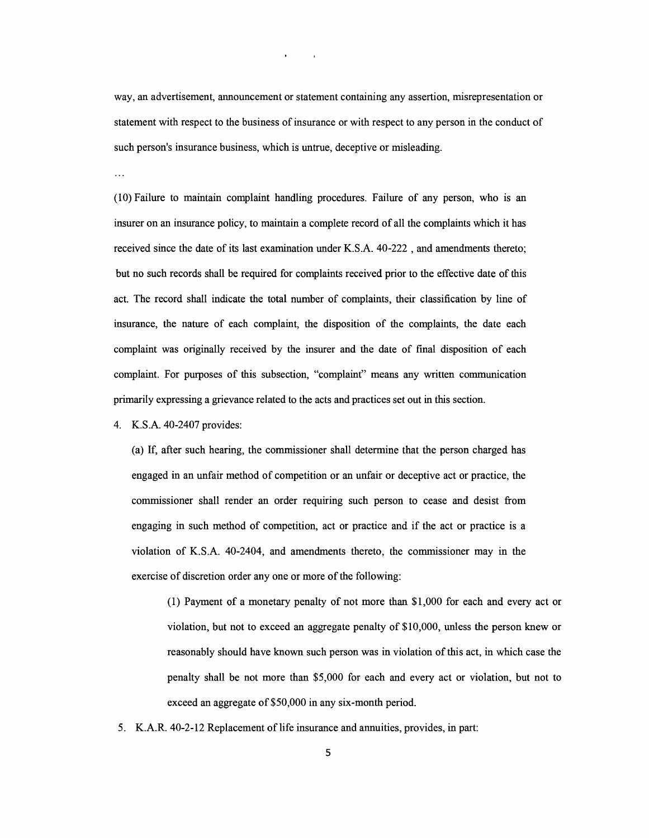way, an advertisement, announcement or statement containing any assertion, misrepresentation or statement with respect to the business of insurance or with respect to any person in the conduct of such person's insurance business, which is untrue, deceptive or misleading.

 $\ddotsc$ 

(10) Failure to maintain complaint handling procedures. Failure of any person, who is an insurer on an insurance policy, to maintain a complete record of all the complaints which it has received since the date of its last examination under K.S.A. 40-222 , and amendments thereto; but no such records shall be required for complaints received prior to the effective date of this act. The record shall indicate the total number of complaints, their classification by line of insurance, the nature of each complaint, the disposition of the complaints, the date each complaint was originally received by the insurer and the date of final disposition of each complaint. For purposes of this subsection, "complaint" means any written communication primarily expressing a grievance related to the acts and practices set out in this section.

## 4. K.S.A. 40-2407 provides:

(a) If, after such hearing, the commissioner shall determine that the person charged has engaged in an unfair method of competition or an unfair or deceptive act or practice, the commissioner shall render an order requiring such person to cease and desist from engaging in such method of competition, act or practice and if the act or practice is a violation of K.S.A. 40-2404, and amendments thereto, the commissioner may in the exercise of discretion order any one or more of the following:

(1) Payment of a monetary penalty of not more than \$1,000 for each and every act or violation, but not to exceed an aggregate penalty of \$10,000, unless the person knew or reasonably should have known such person was in violation of this act, in which case the penalty shall be not more than \$5,000 for each and every act or violation, but not to exceed an aggregate of \$50,000 in any six-month period.

5. K.A.R. 40-2-12 Replacement of life insurance and annuities, provides, in part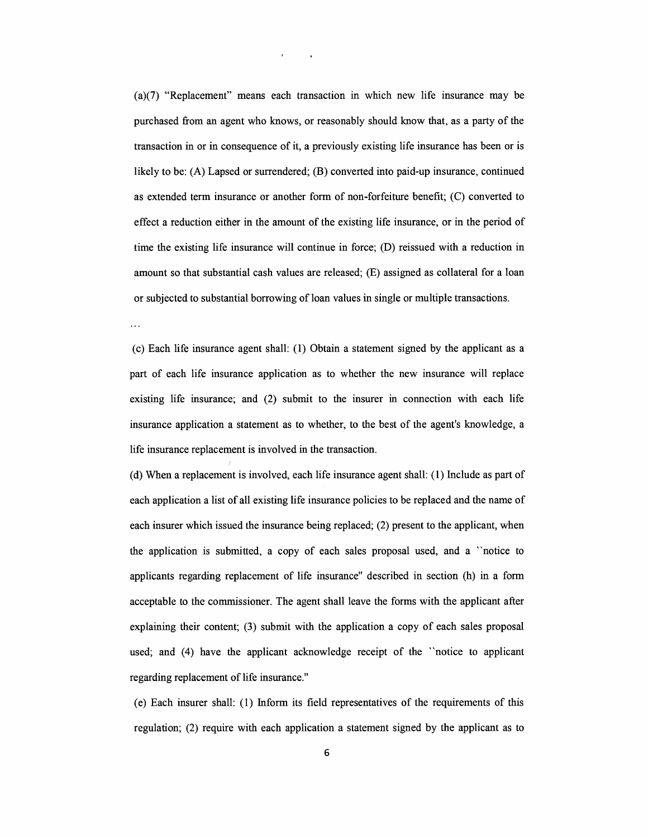(a)(7) "Replacement" means each transaction in which new life insurance may be purchased from an agent who knows, or reasonably should know that, as a party of the transaction in or in consequence of it, a previously existing life insurance has been or is likely to be: (A) Lapsed or surrendered; (B) converted into paid-up insurance, continued as extended term insurance or another form of non-forfeiture benefit; (C) converted to effect a reduction either in the amount of the existing life insurance, or in the period of time the existing life insurance will continue in force; (D) reissued with a reduction in amount so that substantial cash values are released; (E) assigned as collateral for a loan or subjected to substantial borrowing of loan values in single or multiple transactions.

 $\ddotsc$ 

( c) Each life insurance agent shall: ( 1) Obtain a statement signed by the applicant as a part of each life insurance application as to whether the new insurance will replace existing life insurance; and (2) submit to the insurer in connection with each life insurance application a statement as to whether, to the best of the agent's knowledge, a life insurance replacement is involved in the transaction.

( d) When a replacement is involved, each life insurance agent shall: ( 1) Include as part of each application a list of all existing life insurance policies to be replaced and the name of each insurer which issued the insurance being replaced; (2) present to the applicant, when the application is submitted, a copy of each sales proposal used, and a "notice to applicants regarding replacement of life insurance" described in section (h) in a form acceptable to the commissioner. The agent shall leave the forms with the applicant after explaining their content; (3) submit with the application a copy of each sales proposal used; and (4) have the applicant acknowledge receipt of the "notice to applicant regarding replacement of life insurance."

( e) Each insurer shall: ( 1) Inform its field representatives of the requirements of this regulation; (2) require with each application a statement signed by the applicant as to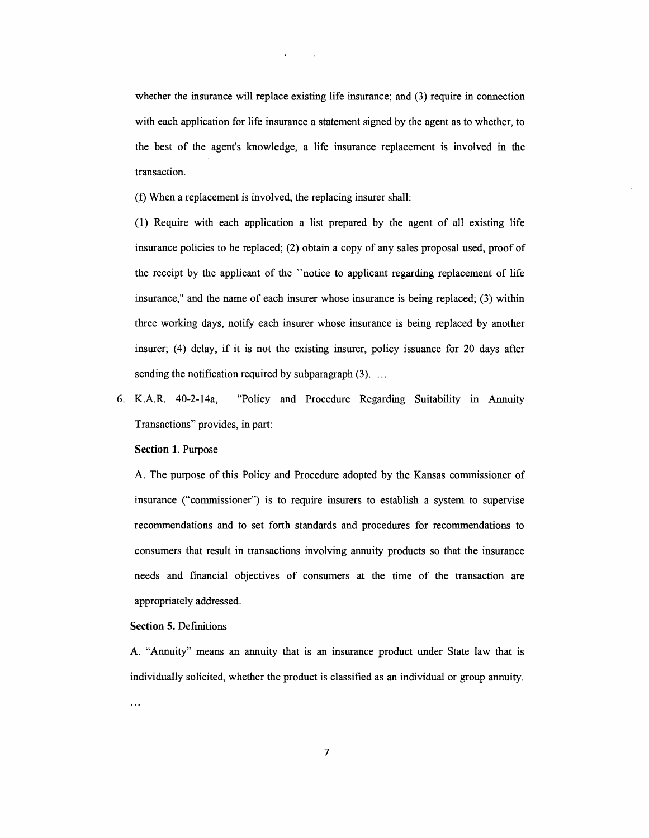whether the insurance will replace existing life insurance; and (3) require in connection with each application for life insurance a statement signed by the agent as to whether, to the best of the agent's knowledge, a life insurance replacement is involved in the transaction.

(f) When a replacement is involved, the replacing insurer shall:

( 1) Require with each application a list prepared by the agent of all existing life insurance policies to be replaced; (2) obtain a copy of any sales proposal used, proof of the receipt by the applicant of the ''notice to applicant regarding replacement of life insurance," and the name of each insurer whose insurance is being replaced; (3) within three working days, notify each insurer whose insurance is being replaced by another insurer; (4) delay, if it is not the existing insurer, policy issuance for 20 days after sending the notification required by subparagraph  $(3)$ ...

6. K.A.R. 40-2-l 4a, "Policy and Procedure Regarding Suitability in Annuity Transactions" provides, in part:

#### **Section 1.** Purpose

A. The purpose of this Policy and Procedure adopted by the Kansas commissioner of insurance ("commissioner") is to require insurers to establish a system to supervise recommendations and to set forth standards and procedures for recommendations to consumers that result in transactions involving annuity products so that the insurance needs and financial objectives of consumers at the time of the transaction are appropriately addressed.

## **Section 5.** Definitions

A. "Annuity" means an annuity that is an insurance product under State law that is individually solicited, whether the product is classified as an individual or group annuity.

 $\ddotsc$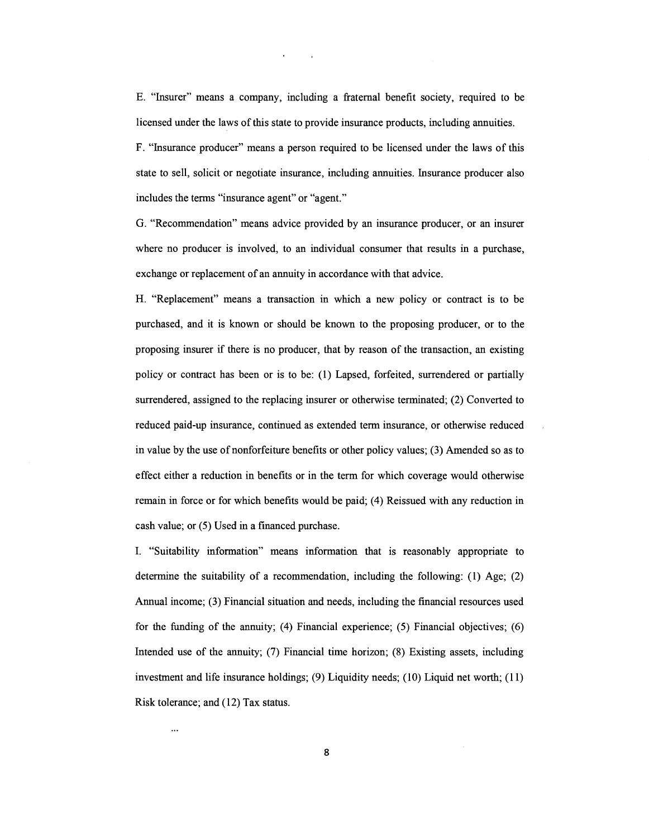E. "Insurer" means a company, including a fraternal benefit society, required to be licensed under the laws of this state to provide insurance products, including annuities.

F. "Insurance producer" means a person required to be licensed under the laws of this state to sell, solicit or negotiate insurance, including annuities. Insurance producer also includes the terms "insurance agent" or "agent."

G. "Recommendation" means advice provided by an insurance producer, or an insurer where no producer is involved, to an individual consumer that results in a purchase, exchange or replacement of an annuity in accordance with that advice.

H. "Replacement" means a transaction in which a new policy or contract is to be purchased, and it is known or should be known to the proposing producer, or to the proposing insurer if there is no producer, that by reason of the transaction, an existing policy or contract has been or is to be: (1) Lapsed, forfeited, surrendered or partially surrendered, assigned to the replacing insurer or otherwise terminated; (2) Converted to reduced paid-up insurance, continued as extended term insurance, or otherwise reduced in value by the use of nonforfeiture benefits or other policy values; (3) Amended so as to effect either a reduction in benefits or in the term for which coverage would otherwise remain in force or for which benefits would be paid; (4) Reissued with any reduction in cash value; or (5) Used in a financed purchase.

I. "Suitability information" means information that is reasonably appropriate to determine the suitability of a recommendation, including the following: (1) Age; (2) Annual income; (3) Financial situation and needs, including the financial resources used for the funding of the annuity; (4) Financial experience; (5) Financial objectives; (6) Intended use of the annuity; (7) Financial time horizon; (8) Existing assets, including investment and life insurance holdings; (9) Liquidity needs; ( 10) Liquid net worth; ( 11) Risk tolerance; and (12) Tax status.

8

 $\ddotsc$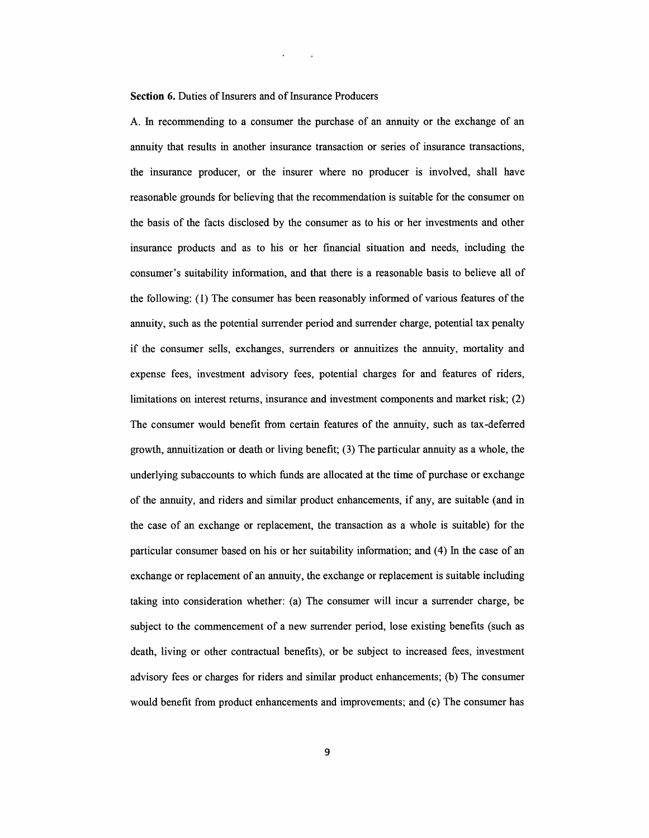#### **Section 6.** Duties of Insurers and of Insurance Producers

A. In recommending to a consumer the purchase of an annuity or the exchange of an annuity that results in another insurance transaction or series of insurance transactions, the insurance producer, or the insurer where no producer is involved, shall have reasonable grounds for believing that the recommendation is suitable for the consumer on the basis of the facts disclosed by the consumer as to his or her investments and other insurance products and as to his or her financial situation and needs, including the consumer's suitability information, and that there is a reasonable basis to believe all of the following: ( 1) The consumer has been reasonably informed of various features of the annuity, such as the potential surrender period and surrender charge, potential tax penalty if the consumer sells, exchanges, surrenders or annuitizes the annuity, mortality and expense fees, investment advisory fees, potential charges for and features of riders, limitations on interest returns, insurance and investment components and market risk; (2) The consumer would benefit from certain features of the annuity, such as tax-deferred growth, annuitization or death or living benefit; (3) The particular annuity as a whole, the underlying subaccounts to which funds are allocated at the time of purchase or exchange of the annuity, and riders and similar product enhancements, if any, are suitable (and in the case of an exchange or replacement, the transaction as a whole is suitable) for the particular consumer based on his or her suitability information; and (4) In the case of an exchange or replacement of an annuity, the exchange or replacement is suitable including taking into consideration whether: (a) The consumer will incur a surrender charge, be subject to the commencement of a new surrender period, lose existing benefits (such as death, living or other contractual benefits), or be subject to increased fees, investment advisory fees or charges for riders and similar product enhancements; (b) The consumer would benefit from product enhancements and improvements; and (c) The consumer has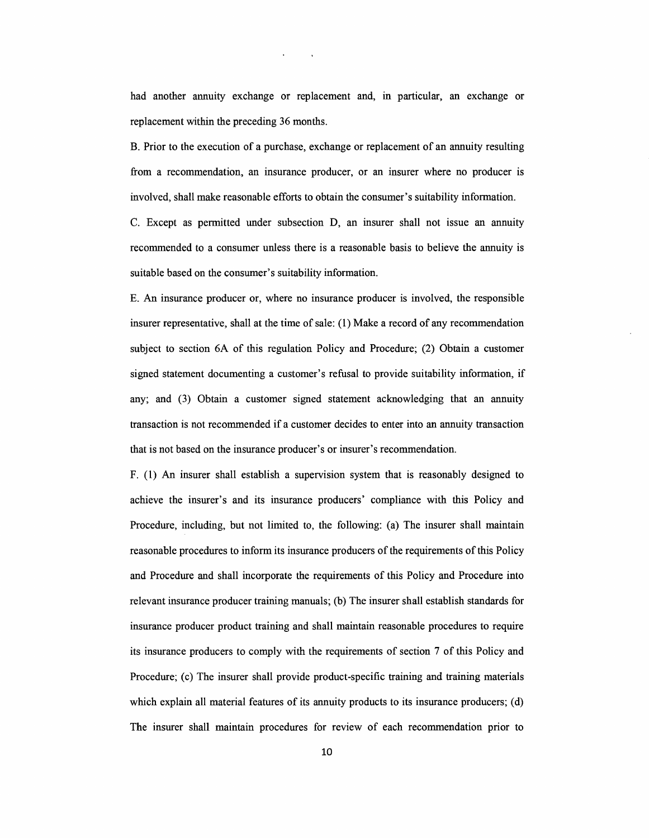had another annuity exchange or replacement and, in particular, an exchange or replacement within the preceding 36 months.

B. Prior to the execution of a purchase, exchange or replacement of an annuity resulting from a recommendation, an insurance producer, or an insurer where no producer is involved, shall make reasonable efforts to obtain the consumer's suitability information.

C. Except as permitted under subsection D, an insurer shall not issue an annuity recommended to a consumer unless there is a reasonable basis to believe the annuity is suitable based on the consumer's suitability information.

E. An insurance producer or, where no insurance producer is involved, the responsible insurer representative, shall at the time of sale: (1) Make a record of any recommendation subject to section 6A of this regulation Policy and Procedure; (2) Obtain a customer signed statement documenting a customer's refusal to provide suitability information, if any; and (3) Obtain a customer signed statement acknowledging that an annuity transaction is not recommended if a customer decides to enter into an annuity transaction that is not based on the insurance producer's or insurer's recommendation.

F. (1) An insurer shall establish a supervision system that is reasonably designed to achieve the insurer's and its insurance producers' compliance with this Policy and Procedure, including, but not limited to, the following: (a) The insurer shall maintain reasonable procedures to inform its insurance producers of the requirements of this Policy and Procedure and shall incorporate the requirements of this Policy and Procedure into relevant insurance producer training manuals; (b) The insurer shall establish standards for insurance producer product training and shall maintain reasonable procedures to require its insurance producers to comply with the requirements of section 7 of this Policy and Procedure; (c) The insurer shall provide product-specific training and training materials which explain all material features of its annuity products to its insurance producers; (d) The insurer shall maintain procedures for review of each recommendation prior to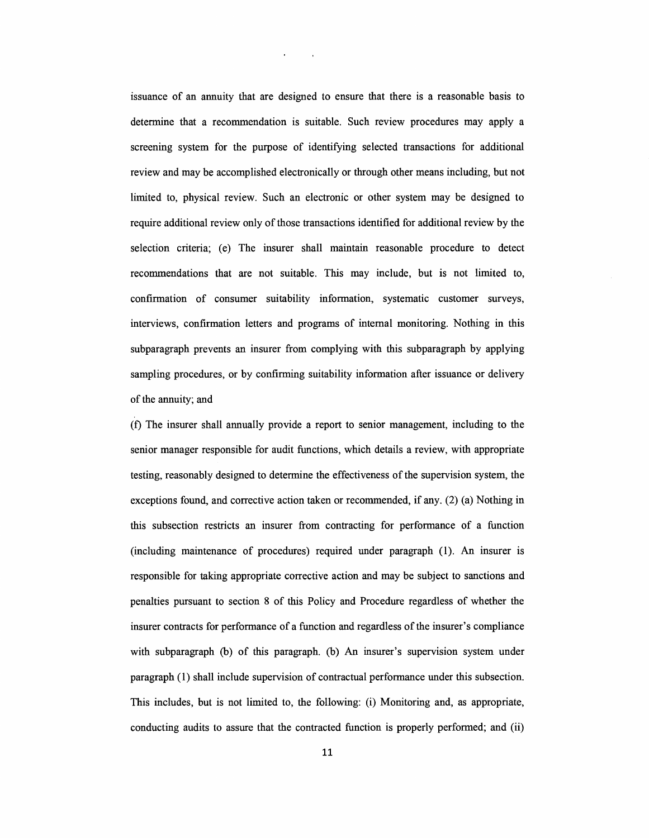issuance of an annuity that are designed to ensure that there is a reasonable basis to determine that a recommendation is suitable. Such review procedures may apply a screening system for the purpose of identifying selected transactions for additional review and may be accomplished electronically or through other means including, but not limited to, physical review. Such an electronic or other system may be designed to require additional review only of those transactions identified for additional review by the selection criteria; (e) The insurer shall maintain reasonable procedure to detect recommendations that are not suitable. This may include, but is not limited to, confirmation of consumer suitability information, systematic customer surveys, interviews, confirmation letters and programs of internal monitoring. Nothing in this subparagraph prevents an insurer from complying with this subparagraph by applying sampling procedures, or by confirming suitability information after issuance or delivery of the annuity; and

(f) The insurer shall annually provide a report to senior management, including to the senior manager responsible for audit functions, which details a review, with appropriate testing, reasonably designed to determine the effectiveness of the supervision system, the exceptions found, and corrective action taken or recommended, if any. (2) (a) Nothing in this subsection restricts an insurer from contracting for performance of a function (including maintenance of procedures) required under paragraph (1). An insurer is responsible for taking appropriate corrective action and may be subject to sanctions and penalties pursuant to section 8 of this Policy and Procedure regardless of whether the insurer contracts for performance of a function and regardless of the insurer's compliance with subparagraph (b) of this paragraph. (b) An insurer's supervision system under paragraph ( 1) shall include supervision of contractual performance under this subsection. This includes, but is not limited to, the following: (i) Monitoring and, as appropriate, conducting audits to assure that the contracted function is properly performed; and (ii)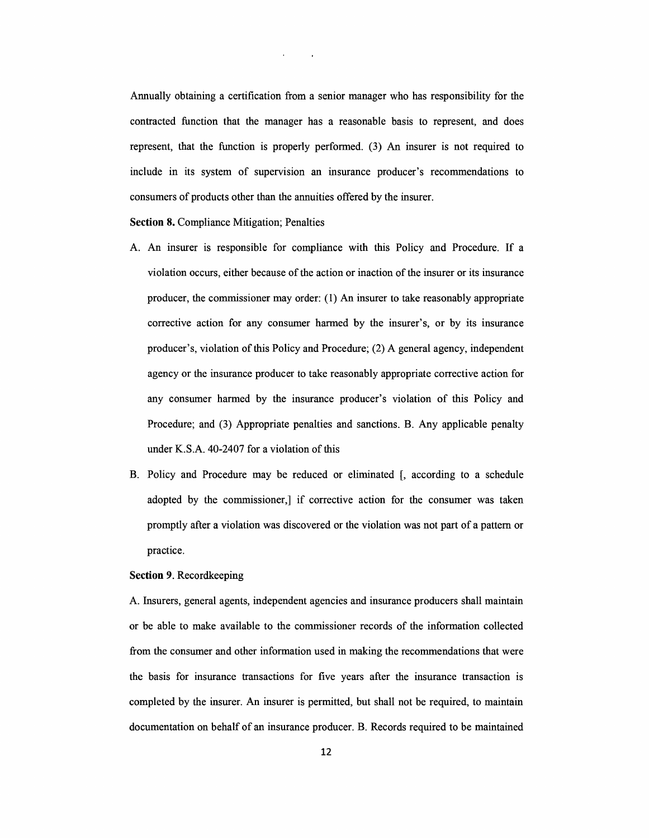Annually obtaining a certification from a senior manager who has responsibility for the contracted function that the manager has a reasonable basis to represent, and does represent, that the function is properly performed. (3) An insurer is not required to include in its system of supervision an insurance producer's recommendations to consumers of products other than the annuities offered by the insurer.

**Section 8.** Compliance Mitigation; Penalties

- A. An insurer is responsible for compliance with this Policy and Procedure. If a violation occurs, either because of the action or inaction of the insurer or its insurance producer, the commissioner may order: (I) An insurer to take reasonably appropriate corrective action for any consumer harmed by the insurer's, or by its insurance producer's, violation of this Policy and Procedure; (2) A general agency, independent agency or the insurance producer to take reasonably appropriate corrective action for any consumer harmed by the insurance producer's violation of this Policy and Procedure; and (3) Appropriate penalties and sanctions. B. Any applicable penalty under K.S.A. 40-2407 for a violation of this
- B. Policy and Procedure may be reduced or eliminated [, according to a schedule adopted by the commissioner,] if corrective action for the consumer was taken promptly after a violation was discovered or the violation was not part of a pattern or practice.

#### **Section 9.** Recordkeeping

A. Insurers, general agents, independent agencies and insurance producers shall maintain or be able to make available to the commissioner records of the information collected from the consumer and other information used in making the recommendations that were the basis for insurance transactions for five years after the insurance transaction is completed by the insurer. An insurer is permitted, but shall not be required, to maintain documentation on behalf of an insurance producer. B. Records required to be maintained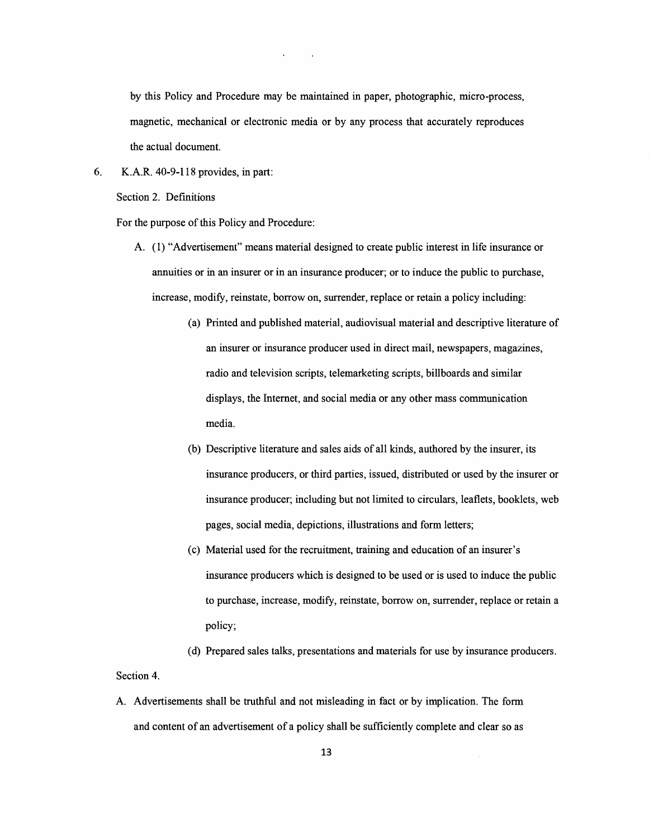by this Policy and Procedure may be maintained in paper, photographic, micro-process, magnetic, mechanical or electronic media or by any process that accurately reproduces the actual document.

6. K.A.R. 40-9-118 provides, in part:

Section 2. Definitions

For the purpose of this Policy and Procedure:

- A. ( 1) "Advertisement" means material designed to create public interest in life insurance or annuities or in an insurer or in an insurance producer; or to induce the public to purchase, increase, modify, reinstate, borrow on, surrender, replace or retain a policy including:
	- (a) Printed and published material, audiovisual material and descriptive literature of an insurer or insurance producer used in direct mail, newspapers, magazines, radio and television scripts, telemarketing scripts, billboards and similar displays, the Internet, and social media or any other mass communication media.
	- (b) Descriptive literature and sales aids of all kinds, authored by the insurer, its insurance producers, or third parties, issued, distributed or used by the insurer or insurance producer; including but not limited to circulars, leaflets, booklets, web pages, social media, depictions, illustrations and form letters;
	- (c) Material used for the recruitment, training and education of an insurer's insurance producers which is designed to be used or is used to induce the public to purchase, increase, modify, reinstate, borrow on, surrender, replace or retain a policy;
	- ( d) Prepared sales talks, presentations and materials for use by insurance producers.

Section 4.

A. Advertisements shall be truthful and not misleading in fact or by implication. The form and content of an advertisement of a policy shall be sufficiently complete and clear so as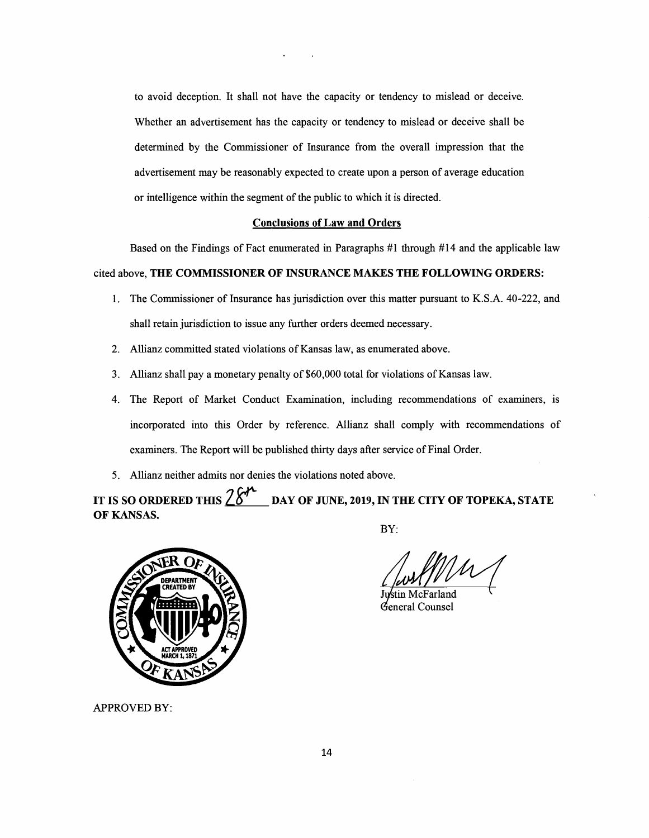to avoid deception. It shall not have the capacity or tendency to mislead or deceive. Whether an advertisement has the capacity or tendency to mislead or deceive shall be determined by the Commissioner of Insurance from the overall impression that the advertisement may be reasonably expected to create upon a person of average education or intelligence within the segment of the public to which it is directed.

#### **Conclusions of Law and Orders**

Based on the Findings of Fact enumerated in Paragraphs #1 through #14 and the applicable law

# cited above, **THE COMMISSIONER OF INSURANCE MAKES THE FOLLOWING ORDERS:**

- 1. The Commissioner of Insurance has jurisdiction over this matter pursuant to K.S.A. 40-222, and shall retain jurisdiction to issue any further orders deemed necessary.
- 2. Allianz committed stated violations of Kansas law, as enumerated above.
- 3. Allianz shall pay a monetary penalty of \$60,000 total for violations of Kansas law.
- 4. The Report of Market Conduct Examination, including recommendations of examiners, is incorporated into this Order by reference. Allianz shall comply with recommendations of examiners. The Report will be published thirty days after service of Final Order.
- 5. Allianz neither admits nor denies the violations noted above.

# IT IS SO ORDERED THIS  $28^{\prime\prime}$  DAY OF JUNE, 2019, IN THE CITY OF TOPEKA, STATE **OF KANSAS.**

BY:

stin McFarland

General Counsel



APPROVED BY: